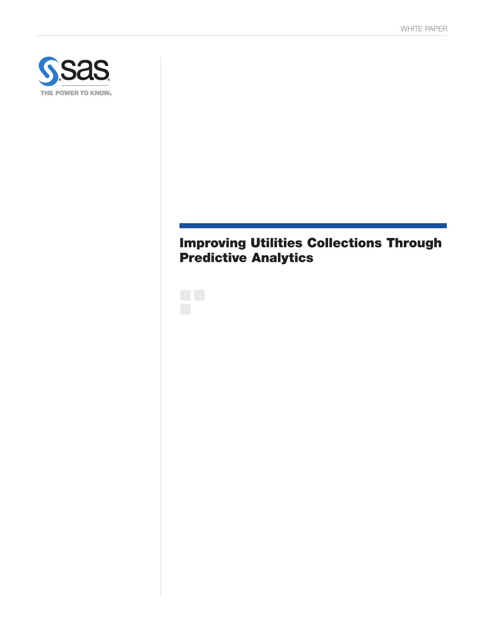

# Improving Utilities Collections Through Predictive Analytics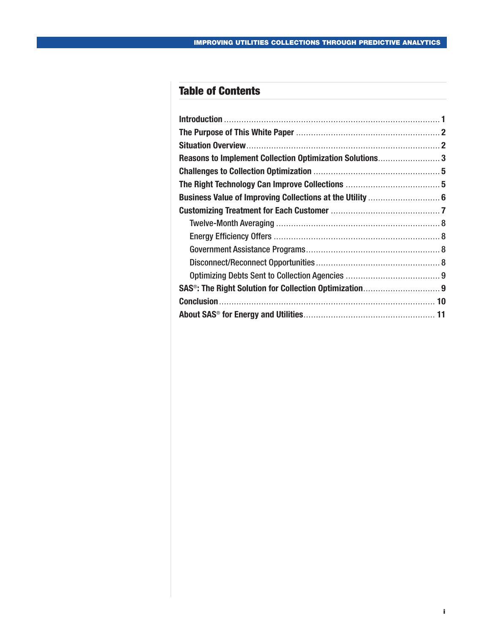## Table of Contents

| Reasons to Implement Collection Optimization Solutions3 |  |
|---------------------------------------------------------|--|
|                                                         |  |
|                                                         |  |
|                                                         |  |
|                                                         |  |
|                                                         |  |
|                                                         |  |
|                                                         |  |
|                                                         |  |
|                                                         |  |
|                                                         |  |
|                                                         |  |
|                                                         |  |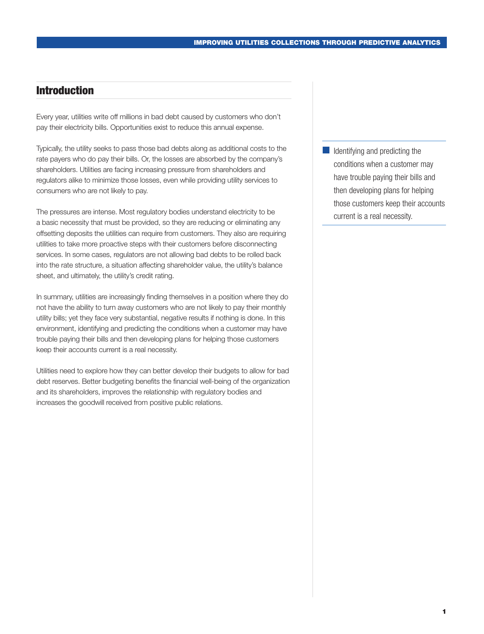## <span id="page-2-0"></span>Introduction

Every year, utilities write off millions in bad debt caused by customers who don't pay their electricity bills. Opportunities exist to reduce this annual expense.

Typically, the utility seeks to pass those bad debts along as additional costs to the rate payers who do pay their bills. Or, the losses are absorbed by the company's shareholders. Utilities are facing increasing pressure from shareholders and regulators alike to minimize those losses, even while providing utility services to consumers who are not likely to pay.

The pressures are intense. Most regulatory bodies understand electricity to be a basic necessity that must be provided, so they are reducing or eliminating any offsetting deposits the utilities can require from customers. They also are requiring utilities to take more proactive steps with their customers before disconnecting services. In some cases, regulators are not allowing bad debts to be rolled back into the rate structure, a situation affecting shareholder value, the utility's balance sheet, and ultimately, the utility's credit rating.

In summary, utilities are increasingly finding themselves in a position where they do not have the ability to turn away customers who are not likely to pay their monthly utility bills; yet they face very substantial, negative results if nothing is done. In this environment, identifying and predicting the conditions when a customer may have trouble paying their bills and then developing plans for helping those customers keep their accounts current is a real necessity.

Utilities need to explore how they can better develop their budgets to allow for bad debt reserves. Better budgeting benefits the financial well-being of the organization and its shareholders, improves the relationship with regulatory bodies and increases the goodwill received from positive public relations.

■ Identifying and predicting the conditions when a customer may have trouble paying their bills and then developing plans for helping those customers keep their accounts current is a real necessity.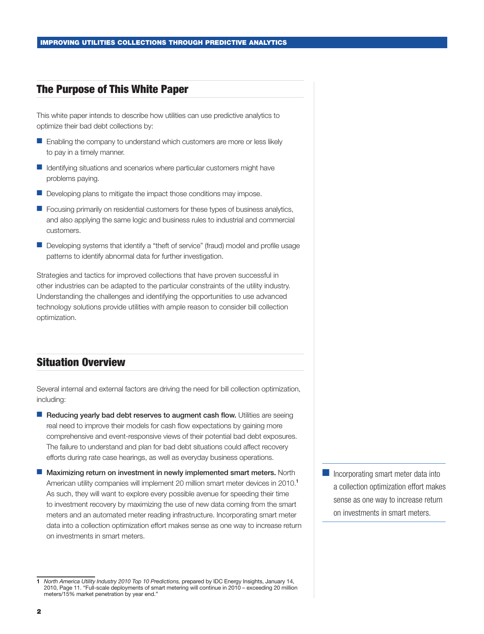#### <span id="page-3-0"></span>The Purpose of This White Paper

This white paper intends to describe how utilities can use predictive analytics to optimize their bad debt collections by:

- Enabling the company to understand which customers are more or less likely to pay in a timely manner.
- Identifying situations and scenarios where particular customers might have problems paying.
- Developing plans to mitigate the impact those conditions may impose.
- **Focusing primarily on residential customers for these types of business analytics,** and also applying the same logic and business rules to industrial and commercial customers.
- Developing systems that identify a "theft of service" (fraud) model and profile usage patterns to identify abnormal data for further investigation.

Strategies and tactics for improved collections that have proven successful in other industries can be adapted to the particular constraints of the utility industry. Understanding the challenges and identifying the opportunities to use advanced technology solutions provide utilities with ample reason to consider bill collection optimization.

## Situation Overview

Several internal and external factors are driving the need for bill collection optimization, including:

- Reducing yearly bad debt reserves to augment cash flow. Utilities are seeing real need to improve their models for cash flow expectations by gaining more comprehensive and event-responsive views of their potential bad debt exposures. The failure to understand and plan for bad debt situations could affect recovery efforts during rate case hearings, as well as everyday business operations.
- Maximizing return on investment in newly implemented smart meters. North American utility companies will implement 20 million smart meter devices in 2010.<sup>1</sup> As such, they will want to explore every possible avenue for speeding their time to investment recovery by maximizing the use of new data coming from the smart meters and an automated meter reading infrastructure. Incorporating smart meter data into a collection optimization effort makes sense as one way to increase return on investments in smart meters.

■ Incorporating smart meter data into a collection optimization effort makes sense as one way to increase return on investments in smart meters.

<sup>1</sup> *North America Utility Industry 2010 Top 10 Predictions,* prepared by IDC Energy Insights, January 14, 2010, Page 11. "Full-scale deployments of smart metering will continue in 2010 – exceeding 20 million meters/15% market penetration by year end."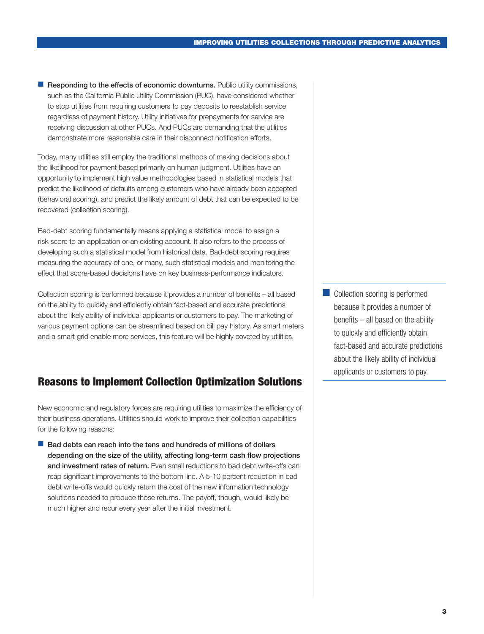<span id="page-4-0"></span>■ Responding to the effects of economic downturns. Public utility commissions, such as the California Public Utility Commission (PUC), have considered whether to stop utilities from requiring customers to pay deposits to reestablish service regardless of payment history. Utility initiatives for prepayments for service are receiving discussion at other PUCs. And PUCs are demanding that the utilities demonstrate more reasonable care in their disconnect notification efforts.

Today, many utilities still employ the traditional methods of making decisions about the likelihood for payment based primarily on human judgment. Utilities have an opportunity to implement high value methodologies based in statistical models that predict the likelihood of defaults among customers who have already been accepted (behavioral scoring), and predict the likely amount of debt that can be expected to be recovered (collection scoring).

Bad-debt scoring fundamentally means applying a statistical model to assign a risk score to an application or an existing account. It also refers to the process of developing such a statistical model from historical data. Bad-debt scoring requires measuring the accuracy of one, or many, such statistical models and monitoring the effect that score-based decisions have on key business-performance indicators.

Collection scoring is performed because it provides a number of benefits – all based on the ability to quickly and efficiently obtain fact-based and accurate predictions about the likely ability of individual applicants or customers to pay. The marketing of various payment options can be streamlined based on bill pay history. As smart meters and a smart grid enable more services, this feature will be highly coveted by utilities.

## Reasons to Implement Collection Optimization Solutions

New economic and regulatory forces are requiring utilities to maximize the efficiency of their business operations. Utilities should work to improve their collection capabilities for the following reasons:

■ Bad debts can reach into the tens and hundreds of millions of dollars depending on the size of the utility, affecting long-term cash flow projections and investment rates of return. Even small reductions to bad debt write-offs can reap significant improvements to the bottom line. A 5-10 percent reduction in bad debt write-offs would quickly return the cost of the new information technology solutions needed to produce those returns. The payoff, though, would likely be much higher and recur every year after the initial investment.

■ Collection scoring is performed because it provides a number of benefits – all based on the ability to quickly and efficiently obtain fact-based and accurate predictions about the likely ability of individual applicants or customers to pay.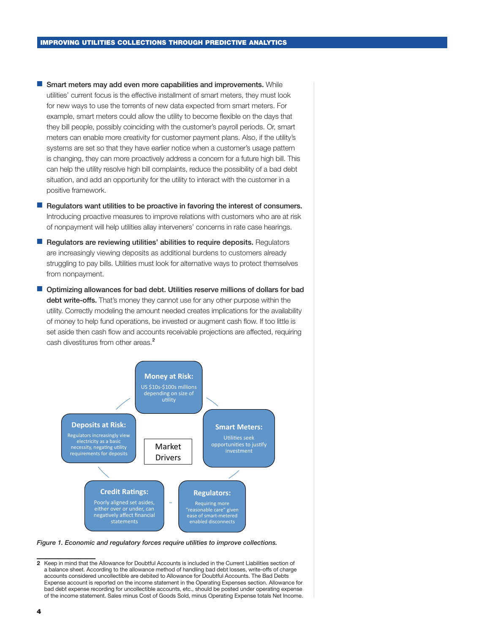- Smart meters may add even more capabilities and improvements. While utilities' current focus is the effective installment of smart meters, they must look for new ways to use the torrents of new data expected from smart meters. For example, smart meters could allow the utility to become flexible on the days that they bill people, possibly coinciding with the customer's payroll periods. Or, smart meters can enable more creativity for customer payment plans. Also, if the utility's systems are set so that they have earlier notice when a customer's usage pattern is changing, they can more proactively address a concern for a future high bill. This can help the utility resolve high bill complaints, reduce the possibility of a bad debt situation, and add an opportunity for the utility to interact with the customer in a positive framework.
- Regulators want utilities to be proactive in favoring the interest of consumers. Introducing proactive measures to improve relations with customers who are at risk of nonpayment will help utilities allay interveners' concerns in rate case hearings.
- Regulators are reviewing utilities' abilities to require deposits. Regulators are increasingly viewing deposits as additional burdens to customers already struggling to pay bills. Utilities must look for alternative ways to protect themselves from nonpayment.
- Optimizing allowances for bad debt. Utilities reserve millions of dollars for bad debt write-offs. That's money they cannot use for any other purpose within the utility. Correctly modeling the amount needed creates implications for the availability of money to help fund operations, be invested or augment cash flow. If too little is set aside then cash flow and accounts receivable projections are affected, requiring cash divestitures from other areas.<sup>2</sup>



*Figure 1. Economic and regulatory forces require utilities to improve collections.*

<sup>2</sup> Keep in mind that the Allowance for Doubtful Accounts is included in the Current Liabilities section of a balance sheet. According to the allowance method of handling bad debt losses, write-offs of charge accounts considered uncollectible are debited to Allowance for Doubtful Accounts. The Bad Debts Expense account is reported on the income statement in the Operating Expenses section. Allowance for bad debt expense recording for uncollectible accounts, etc., should be posted under operating expense of the income statement. Sales minus Cost of Goods Sold, minus Operating Expense totals Net Income.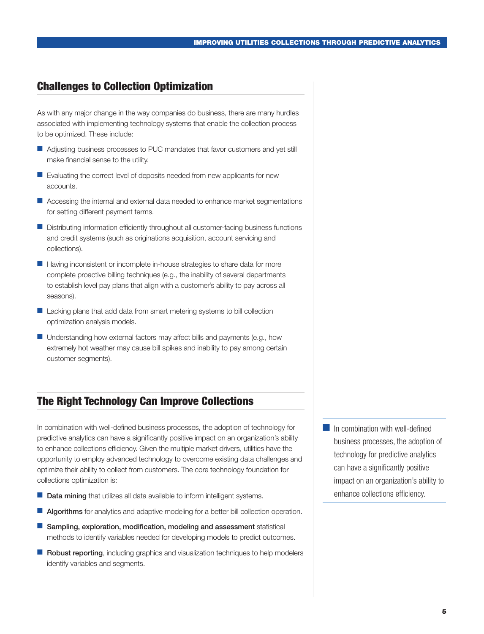## <span id="page-6-0"></span>Challenges to Collection Optimization

As with any major change in the way companies do business, there are many hurdles associated with implementing technology systems that enable the collection process to be optimized. These include:

- Adjusting business processes to PUC mandates that favor customers and vet still make financial sense to the utility.
- Evaluating the correct level of deposits needed from new applicants for new accounts.
- Accessing the internal and external data needed to enhance market segmentations for setting different payment terms.
- Distributing information efficiently throughout all customer-facing business functions and credit systems (such as originations acquisition, account servicing and collections).
- Having inconsistent or incomplete in-house strategies to share data for more complete proactive billing techniques (e.g., the inability of several departments to establish level pay plans that align with a customer's ability to pay across all seasons).
- Lacking plans that add data from smart metering systems to bill collection optimization analysis models.
- $\blacksquare$  Understanding how external factors may affect bills and payments (e.g., how extremely hot weather may cause bill spikes and inability to pay among certain customer segments).

## The Right Technology Can Improve Collections

In combination with well-defined business processes, the adoption of technology for predictive analytics can have a significantly positive impact on an organization's ability to enhance collections efficiency. Given the multiple market drivers, utilities have the opportunity to employ advanced technology to overcome existing data challenges and optimize their ability to collect from customers. The core technology foundation for collections optimization is:

- **Data mining** that utilizes all data available to inform intelligent systems.
- Algorithms for analytics and adaptive modeling for a better bill collection operation.
- Sampling, exploration, modification, modeling and assessment statistical methods to identify variables needed for developing models to predict outcomes.
- Robust reporting, including graphics and visualization techniques to help modelers identify variables and segments.
- In combination with well-defined business processes, the adoption of technology for predictive analytics can have a significantly positive impact on an organization's ability to enhance collections efficiency.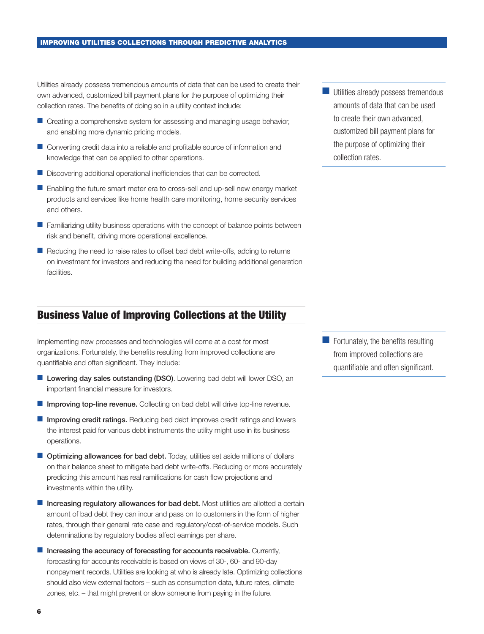<span id="page-7-0"></span>Utilities already possess tremendous amounts of data that can be used to create their own advanced, customized bill payment plans for the purpose of optimizing their collection rates. The benefits of doing so in a utility context include:

- Creating a comprehensive system for assessing and managing usage behavior, and enabling more dynamic pricing models.
- Converting credit data into a reliable and profitable source of information and knowledge that can be applied to other operations.
- Discovering additional operational inefficiencies that can be corrected.
- Enabling the future smart meter era to cross-sell and up-sell new energy market products and services like home health care monitoring, home security services and others.
- Familiarizing utility business operations with the concept of balance points between risk and benefit, driving more operational excellence.
- Reducing the need to raise rates to offset bad debt write-offs, adding to returns on investment for investors and reducing the need for building additional generation facilities.

### Business Value of Improving Collections at the Utility

Implementing new processes and technologies will come at a cost for most organizations. Fortunately, the benefits resulting from improved collections are quantifiable and often significant. They include:

- Lowering day sales outstanding (DSO). Lowering bad debt will lower DSO, an important financial measure for investors.
- Improving top-line revenue. Collecting on bad debt will drive top-line revenue.
- Improving credit ratings. Reducing bad debt improves credit ratings and lowers the interest paid for various debt instruments the utility might use in its business operations.
- Optimizing allowances for bad debt. Today, utilities set aside millions of dollars on their balance sheet to mitigate bad debt write-offs. Reducing or more accurately predicting this amount has real ramifications for cash flow projections and investments within the utility.
- Increasing regulatory allowances for bad debt. Most utilities are allotted a certain amount of bad debt they can incur and pass on to customers in the form of higher rates, through their general rate case and regulatory/cost-of-service models. Such determinations by regulatory bodies affect earnings per share.
- Increasing the accuracy of forecasting for accounts receivable. Currently, forecasting for accounts receivable is based on views of 30-, 60- and 90-day nonpayment records. Utilities are looking at who is already late. Optimizing collections should also view external factors – such as consumption data, future rates, climate zones, etc. – that might prevent or slow someone from paying in the future.

Utilities already possess tremendous amounts of data that can be used to create their own advanced, customized bill payment plans for the purpose of optimizing their collection rates.

■ Fortunately, the benefits resulting from improved collections are quantifiable and often significant.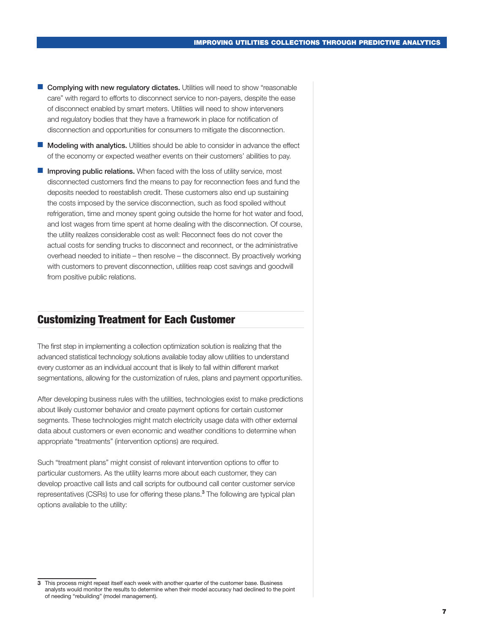- <span id="page-8-0"></span>■ Complying with new regulatory dictates. Utilities will need to show "reasonable care" with regard to efforts to disconnect service to non-payers, despite the ease of disconnect enabled by smart meters. Utilities will need to show interveners and regulatory bodies that they have a framework in place for notification of disconnection and opportunities for consumers to mitigate the disconnection.
- **Modeling with analytics.** Utilities should be able to consider in advance the effect of the economy or expected weather events on their customers' abilities to pay.
- Improving public relations. When faced with the loss of utility service, most disconnected customers find the means to pay for reconnection fees and fund the deposits needed to reestablish credit. These customers also end up sustaining the costs imposed by the service disconnection, such as food spoiled without refrigeration, time and money spent going outside the home for hot water and food, and lost wages from time spent at home dealing with the disconnection. Of course, the utility realizes considerable cost as well: Reconnect fees do not cover the actual costs for sending trucks to disconnect and reconnect, or the administrative overhead needed to initiate – then resolve – the disconnect. By proactively working with customers to prevent disconnection, utilities reap cost savings and goodwill from positive public relations.

#### Customizing Treatment for Each Customer

The first step in implementing a collection optimization solution is realizing that the advanced statistical technology solutions available today allow utilities to understand every customer as an individual account that is likely to fall within different market segmentations, allowing for the customization of rules, plans and payment opportunities.

After developing business rules with the utilities, technologies exist to make predictions about likely customer behavior and create payment options for certain customer segments. These technologies might match electricity usage data with other external data about customers or even economic and weather conditions to determine when appropriate "treatments" (intervention options) are required.

Such "treatment plans" might consist of relevant intervention options to offer to particular customers. As the utility learns more about each customer, they can develop proactive call lists and call scripts for outbound call center customer service representatives (CSRs) to use for offering these plans.<sup>3</sup> The following are typical plan options available to the utility:

<sup>3</sup> This process might repeat itself each week with another quarter of the customer base. Business analysts would monitor the results to determine when their model accuracy had declined to the point of needing "rebuilding" (model management).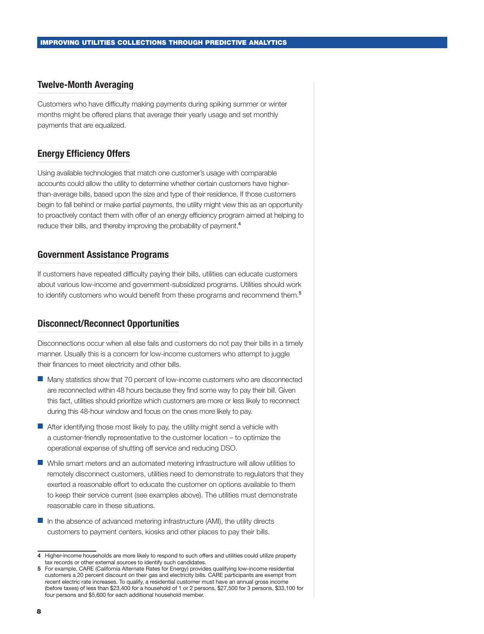#### <span id="page-9-0"></span>Twelve-Month Averaging

Customers who have difficulty making payments during spiking summer or winter months might be offered plans that average their yearly usage and set monthly payments that are equalized.

#### Energy Efficiency Offers

Using available technologies that match one customer's usage with comparable accounts could allow the utility to determine whether certain customers have higherthan-average bills, based upon the size and type of their residence. If those customers begin to fall behind or make partial payments, the utility might view this as an opportunity to proactively contact them with offer of an energy efficiency program aimed at helping to reduce their bills, and thereby improving the probability of payment.<sup>4</sup>

#### Government Assistance Programs

If customers have repeated difficulty paying their bills, utilities can educate customers about various low-income and government-subsidized programs. Utilities should work to identify customers who would benefit from these programs and recommend them.<sup>5</sup>

#### Disconnect/Reconnect Opportunities

Disconnections occur when all else fails and customers do not pay their bills in a timely manner. Usually this is a concern for low-income customers who attempt to juggle their finances to meet electricity and other bills.

- Many statistics show that 70 percent of low-income customers who are disconnected are reconnected within 48 hours because they find some way to pay their bill. Given this fact, utilities should prioritize which customers are more or less likely to reconnect during this 48-hour window and focus on the ones more likely to pay.
- After identifying those most likely to pay, the utility might send a vehicle with a customer-friendly representative to the customer location – to optimize the operational expense of shutting off service and reducing DSO.
- While smart meters and an automated metering infrastructure will allow utilities to remotely disconnect customers, utilities need to demonstrate to regulators that they exerted a reasonable effort to educate the customer on options available to them to keep their service current (see examples above). The utilities must demonstrate reasonable care in these situations.
- In the absence of advanced metering infrastructure (AMI), the utility directs customers to payment centers, kiosks and other places to pay their bills.

<sup>4</sup> Higher-income households are more likely to respond to such offers and utilities could utilize property tax records or other external sources to identify such candidates.

<sup>5</sup> For example, CARE (California Alternate Rates for Energy) provides qualifying low-income residential customers a 20 percent discount on their gas and electricity bills. CARE participants are exempt from recent electric rate increases. To qualify, a residential customer must have an annual gross income (before taxes) of less than \$23,400 for a household of 1 or 2 persons, \$27,500 for 3 persons, \$33,100 for four persons and \$5,600 for each additional household member.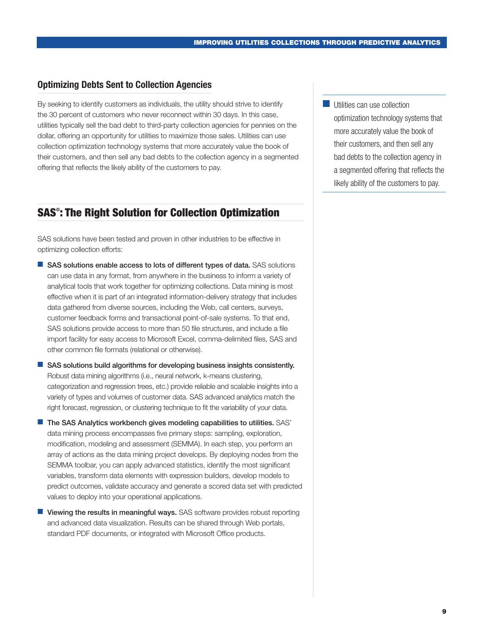#### <span id="page-10-0"></span>Optimizing Debts Sent to Collection Agencies

By seeking to identify customers as individuals, the utility should strive to identify the 30 percent of customers who never reconnect within 30 days. In this case, utilities typically sell the bad debt to third-party collection agencies for pennies on the dollar, offering an opportunity for utilities to maximize those sales. Utilities can use collection optimization technology systems that more accurately value the book of their customers, and then sell any bad debts to the collection agency in a segmented offering that reflects the likely ability of the customers to pay.

## SAS® : The Right Solution for Collection Optimization

SAS solutions have been tested and proven in other industries to be effective in optimizing collection efforts:

- SAS solutions enable access to lots of different types of data. SAS solutions can use data in any format, from anywhere in the business to inform a variety of analytical tools that work together for optimizing collections. Data mining is most effective when it is part of an integrated information-delivery strategy that includes data gathered from diverse sources, including the Web, call centers, surveys, customer feedback forms and transactional point-of-sale systems. To that end, SAS solutions provide access to more than 50 file structures, and include a file import facility for easy access to Microsoft Excel, comma-delimited files, SAS and other common file formats (relational or otherwise).
- SAS solutions build algorithms for developing business insights consistently. Robust data mining algorithms (i.e., neural network, k-means clustering, categorization and regression trees, etc.) provide reliable and scalable insights into a variety of types and volumes of customer data. SAS advanced analytics match the right forecast, regression, or clustering technique to fit the variability of your data.
- The SAS Analytics workbench gives modeling capabilities to utilities. SAS' data mining process encompasses five primary steps: sampling, exploration, modification, modeling and assessment (SEMMA). In each step, you perform an array of actions as the data mining project develops. By deploying nodes from the SEMMA toolbar, you can apply advanced statistics, identify the most significant variables, transform data elements with expression builders, develop models to predict outcomes, validate accuracy and generate a scored data set with predicted values to deploy into your operational applications.
- Viewing the results in meaningful ways. SAS software provides robust reporting and advanced data visualization. Results can be shared through Web portals, standard PDF documents, or integrated with Microsoft Office products.

**■** Utilities can use collection optimization technology systems that more accurately value the book of their customers, and then sell any bad debts to the collection agency in a segmented offering that reflects the likely ability of the customers to pay.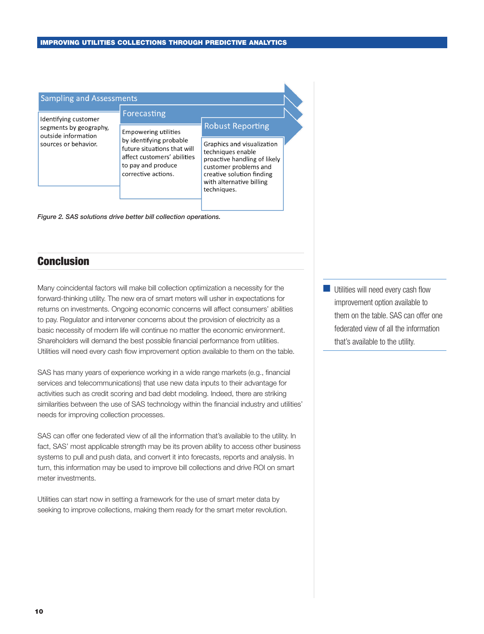<span id="page-11-0"></span>

| <b>Sampling and Assessments</b>                                                               |                                                                                                                                                                   |                                                                                                                                                                                  |  |
|-----------------------------------------------------------------------------------------------|-------------------------------------------------------------------------------------------------------------------------------------------------------------------|----------------------------------------------------------------------------------------------------------------------------------------------------------------------------------|--|
| Identifying customer<br>segments by geography,<br>outside information<br>sources or behavior. | Forecasting                                                                                                                                                       | <b>Robust Reporting</b>                                                                                                                                                          |  |
|                                                                                               | <b>Empowering utilities</b><br>by identifying probable<br>future situations that will<br>affect customers' abilities<br>to pay and produce<br>corrective actions. | Graphics and visualization<br>techniques enable<br>proactive handling of likely<br>customer problems and<br>creative solution finding<br>with alternative billing<br>techniques. |  |

*Figure 2. SAS solutions drive better bill collection operations.*

## **Conclusion**

Many coincidental factors will make bill collection optimization a necessity for the forward-thinking utility. The new era of smart meters will usher in expectations for returns on investments. Ongoing economic concerns will affect consumers' abilities to pay. Regulator and intervener concerns about the provision of electricity as a basic necessity of modern life will continue no matter the economic environment. Shareholders will demand the best possible financial performance from utilities. Utilities will need every cash flow improvement option available to them on the table.

SAS has many years of experience working in a wide range markets (e.g., financial services and telecommunications) that use new data inputs to their advantage for activities such as credit scoring and bad debt modeling. Indeed, there are striking similarities between the use of SAS technology within the financial industry and utilities' needs for improving collection processes.

SAS can offer one federated view of all the information that's available to the utility. In fact, SAS' most applicable strength may be its proven ability to access other business systems to pull and push data, and convert it into forecasts, reports and analysis. In turn, this information may be used to improve bill collections and drive ROI on smart meter investments.

Utilities can start now in setting a framework for the use of smart meter data by seeking to improve collections, making them ready for the smart meter revolution. **Utilities will need every cash flow** improvement option available to them on the table. SAS can offer one federated view of all the information that's available to the utility.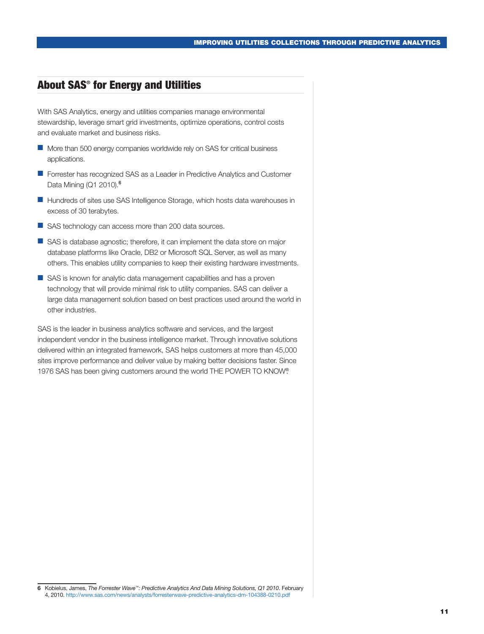## <span id="page-12-0"></span>About SAS® for Energy and Utilities

With SAS Analytics, energy and utilities companies manage environmental stewardship, leverage smart grid investments, optimize operations, control costs and evaluate market and business risks.

- More than 500 energy companies worldwide rely on SAS for critical business applications.
- Forrester has recognized SAS as a Leader in Predictive Analytics and Customer Data Mining (Q1 2010).<sup>6</sup>
- Hundreds of sites use SAS Intelligence Storage, which hosts data warehouses in excess of 30 terabytes.
- SAS technology can access more than 200 data sources.
- SAS is database agnostic; therefore, it can implement the data store on major database platforms like Oracle, DB2 or Microsoft SQL Server, as well as many others. This enables utility companies to keep their existing hardware investments.
- SAS is known for analytic data management capabilities and has a proven technology that will provide minimal risk to utility companies. SAS can deliver a large data management solution based on best practices used around the world in other industries.

SAS is the leader in business analytics software and services, and the largest independent vendor in the business intelligence market. Through innovative solutions delivered within an integrated framework, SAS helps customers at more than 45,000 sites improve performance and deliver value by making better decisions faster. Since 1976 SAS has been giving customers around the world THE POWER TO KNOW®.

<sup>6</sup> Kobielus, James, *The Forrester Wave™: Predictive Analytics And Data Mining Solutions, Q1 2010*. February 4, 2010.<http://www.sas.com/news/analysts/forresterwave-predictive-analytics-dm-104388-0210.pdf>